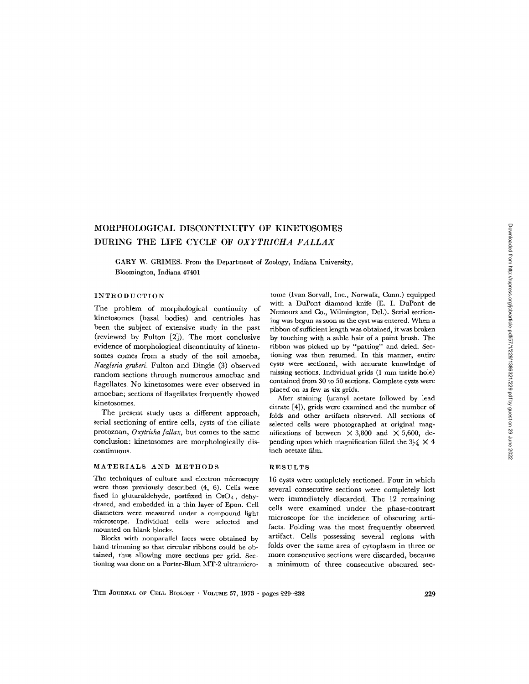# Downloaded from http://rupress.org/jcb/article-pdf/57/1/229/1386321/229.pdf by guest on 29 June 2022 Downloaded from http://rupress.org/jcb/article-pdf/57/1/229/1386321/229.pdf by guest on 29 June 2022

# MORPHOLOGICAL DISCONTINUITY OF KINETOSOMES DURING THE LIFE CYCLF OF OXYTRICHA FALLAX

GARY W. GRIMES. From the Department of Zoology, Indiana University, Bloomington, Indiana 47401

### INTRODUCTION

The problem of morphological continuity of kinetosomes (basal bodies) and centrioles has been the subject of extensive study in the past (reviewed by Fulton [2]) . The most conclusive evidence of morphological discontinuity of kinetosomes comes from a study of the soil amoeba, Naegleria gruberi. Fulton and Dingle (3) observed random sections through numerous amoebae and flagellates. No kinetosomes were ever observed in amoebae; sections of flagellates frequently showed kinetosomes .

The present study uses a different approach, serial sectioning of entire cells, cysts of the ciliate protozoan, Oxytricha fallax, but comes to the same conclusion : kinetosomes are morphologically discontinuous .

### MATERIALS AND METHODS

The techniques of culture and electron microscopy were those previously described  $(4, 6)$ . Cells were fixed in glutaraldehyde, postfixed in  $OsO<sub>4</sub>$ , dehydrated, and embedded in a thin layer of Epon. Cell diameters were measured under a compound light microscope. Individual cells were selected and mounted on blank blocks.

Blocks with nonparallel faces were obtained by hand-trimming so that circular ribbons could be obtained, thus allowing more sections per grid. Sectioning was done on a Porter-Blum MT-2 ultramicro-

tome (Ivan Sorvall, Inc., Norwalk, Conn.) equipped with a DuPont diamond knife (E. I. DuPont de Nemours and Co., Wilmington, Del.). Serial sectioning was begun as soon as the cyst was entered. When a ribbon of sufficient length was obtained, it was broken by touching with a sable hair of a paint brush. The ribbon was picked up by "patting" and dried. Sectioning was then resumed. In this manner, entire cysts were sectioned, with accurate knowledge of missing sections . Individual grids (1 mm inside hole) contained from 30 to 50 sections. Complete cysts were placed on as few as six grids.

After staining (uranyl acetate followed by lead citrate [4]), grids were examined and the number of folds and other artifacts observed. All sections of selected cells were photographed at original magnifications of between  $\times$  3,800 and  $\times$  5,600, depending upon which magnification filled the  $3\frac{1}{4} \times 4$ inch acetate film.

### RESULTS

16 cysts were completely sectioned . Four in which several consecutive sections were completely lost were immediately discarded. The 12 remaining cells were examined under the phase-contrast microscope for the incidence of obscuring artifacts. Folding was the most frequently observed artifact. Cells possessing several regions with folds over the same area of cytoplasm in three or more consecutive sections were discarded, because a minimum of three consecutive obscured sec-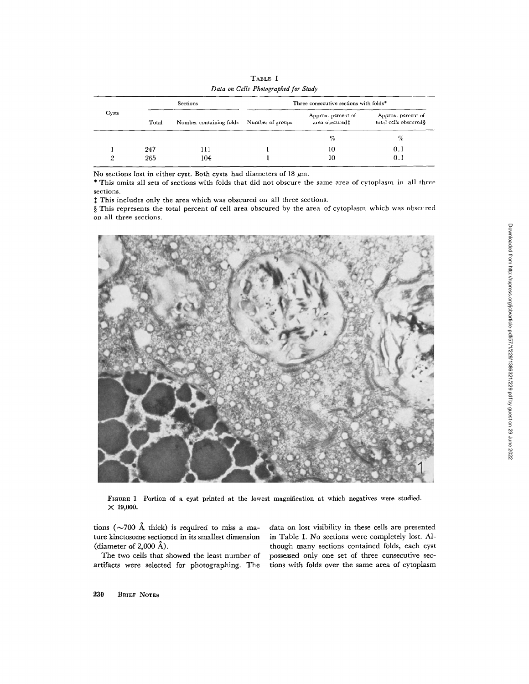| Cysts | <b>Sections</b> |                         | Three consecutive sections with folds* |                                       |                                              |
|-------|-----------------|-------------------------|----------------------------------------|---------------------------------------|----------------------------------------------|
|       | Total           | Number containing folds | Number of groups                       | Approx. percent of<br>area obscured t | Approx. percent of<br>total cells obscured § |
|       |                 |                         |                                        | %                                     | %                                            |
|       | 247             | 111                     |                                        | 10                                    | 0.1                                          |
|       | 265             | 104                     |                                        | 10                                    | 0.1                                          |

TABLE <sup>I</sup> Data on Cells Photographed for Study

No sections lost in either cyst. Both cysts had diameters of 18  $\mu$ m.

\* This omits all sets of sections with folds that did not obscure the same area of cytoplasm in all three sections.

 $\ddagger$  This includes only the area which was obscured on all three sections.

§ This represents the total percent of cell area obscured by the area of cytoplasm which was obscured on all three sections.



FIGURE <sup>1</sup> Portion of a cyst printed at the lowest magnification at which negatives were studied .  $\times$  19,000.

tions ( $\sim$ 700 Å thick) is required to miss a ma- data on lost visibility in these cells are presented ture kinetosome sectioned in its smallest dimension in Table I. No sections were completely lost. Al-(diameter of 2,000 Å).<br>The two cells that showed the least number of

artifacts were selected for photographing. The tions with folds over the same area of cytoplasm

in Table I. No sections were completely lost. Although many sections contained folds, each cyst possessed only one set of three consecutive sec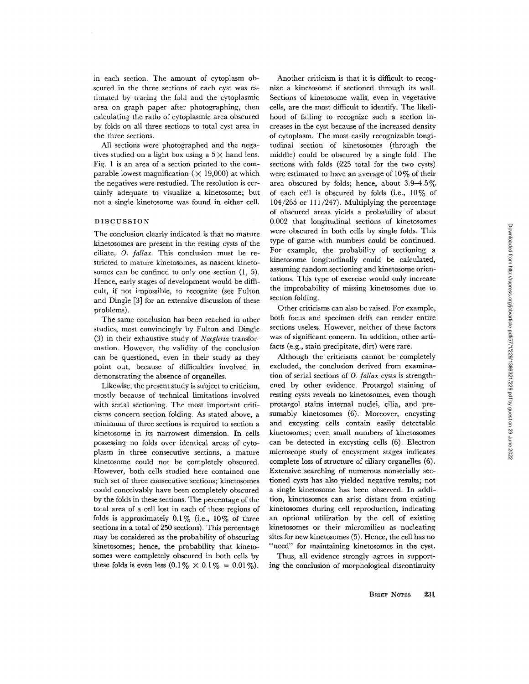in each section. The amount of cytoplasm obscured in the three sections of each cyst was estimated by tracing the fold and the cytoplasmic area on graph paper after photographing, then calculating the ratio of cytoplasmic area obscured by folds on all three sections to total cyst area in the three sections.

All sections were photographed and the negatives studied on a light box using a  $5 \times$  hand lens. Fig. 1 is an area of a section printed to the comparable lowest magnification ( $\times$  19,000) at which the negatives were restudied. The resolution is certainly adequate to visualize a kinetosome; but not a single kinetosome was found in either cell.

# DISCUSSION

The conclusion clearly indicated is that no mature kinetosomes are present in the resting cysts of the ciliate,  $0.$  fallax. This conclusion must be restricted to mature kinetosomes, as nascent kinetosomes can be confined to only one section  $(1, 5)$ . Hence, early stages of development would be difficult, if not impossible, to recognize (see Fulton and Dingle [3] for an extensive discussion of these problems) .

The same conclusion has been reached in other studies, most convincingly by Fulton and Dingle (3) in their exhaustive study of Naegleria transformation. However, the validity of the conclusion can be questioned, even in their study as they point out, because of difficulties involved in demonstrating the absence of organelles .

Likewise, the present study is subject to criticism, mostly because of technical limitations involved with serial sectioning. The most important criticisms concern section folding . As stated above, a minimum of three sections is required to section a kinetosome in its narrowest dimension . In cells possessing no folds over identical areas of cytoplasm in three consecutive sections, a mature kinetosome could not be completely obscured. However, both cells studied here contained one such set of three consecutive sections; kinetosomes could conceivably have been completely obscured by the folds in these sections . The percentage of the total area of a cell lost in each of these regions of folds is approximately  $0.1\%$  (i.e.,  $10\%$  of three sections in a total of 250 sections). This percentage may be considered as the probability of obscuring kinetosomes; hence, the probability that kinetosomes were completely obscured in both cells by these folds is even less  $(0.1\% \times 0.1\% = 0.01\%)$ .

Another criticism is that it is difficult to recognize a kinetosome if sectioned through its wall. Sections of kinetosome walls, even in vegetative cells, are the most difficult to identify . The likelihood of failing to recognize such a section increases in the cyst because of the increased density of cytoplasm. The most easily recognizable longitudinal section of kinetosomes (through the middle) could be obscured by a single fold. The sections with folds (225 total for the two cysts) were estimated to have an average of  $10\%$  of their area obscured by folds; hence, about  $3.9-4.5\%$ of each cell is obscured by folds (i.e.,  $10\%$  of 104/265 or 111/247) . Multiplying the percentage of obscured areas yields a probability of about 0 .002 that longitudinal sections of kinetosomes were obscured in both cells by single folds. This type of game with numbers could be continued. For example, the probability of sectioning a kinetosome longitudinally could be calculated, assuming random sectioning and kinetosome orientations. This type of exercise would only increase the improbability of missing kinetosomes due to section folding.

Other criticisms can also be raised . For example, both focus and specimen drift can render entire sections useless. However, neither of these factors was of significant concern. In addition, other artifacts (e.g., stain precipitate, dirt) were rare.

Although the criticisms cannot be completely excluded, the conclusion derived from examination of serial sections of 0. fallax cysts is strengthened by other evidence . Protargol staining of resting cysts reveals no kinetosomes, even though protargol stains internal nuclei, cilia, and presumably kinetosomes (6). Moreover, encysting and excysting cells contain easily detectable kinetosomes; even small numbers of kinetosomes can be detected in excysting cells (6). Electron microscope study of encystment stages indicates complete loss of structure of ciliary organelles (6) . Extensive searching of numerous nonserially sectioned cysts has also yielded negative results; not a single kinetosome has been observed . In addition, kinetosomes can arise distant from existing kinetosomes during cell reproduction, indicating an optional utilization by the cell of existing kinetosomes or their micromilieu as nucleating sites for new kinetosomes (5) . Hence, the cell has no "need" for maintaining kinetosomes in the cyst.

Thus, all evidence strongly agrees in supporting the conclusion of morphological discontinuity